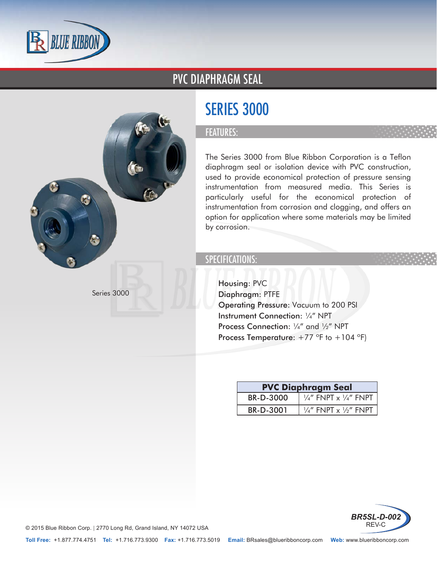

### PVC DIAPHRAGM SEAL



#### FEATURES:

The Series 3000 from Blue Ribbon Corporation is a Teflon diaphragm seal or isolation device with PVC construction, used to provide economical protection of pressure sensing instrumentation from measured media. This Series is particularly useful for the economical protection of instrumentation from corrosion and clogging, and offers an option for application where some materials may be limited by corrosion.

#### SPECIFICATIONS:

- Housing: PVC
- Diaphragm: PTFE
- Operating Pressure: Vacuum to 200 PSI
- Instrument Connection: 1/4" NPT
- Process Connection: 1/4" and 1/2" NPT
- Process Temperature:  $+77$  °F to  $+104$  °F)

| <b>PVC Diaphragm Seal</b> |                                             |
|---------------------------|---------------------------------------------|
| BR-D-3000                 | $\frac{1}{4}$ " FNPT x $\frac{1}{4}$ " FNPT |
| BR-D-3001                 | $\frac{1}{4}$ " FNPT x $\frac{1}{2}$ " FNPT |



© 2015 Blue Ribbon Corp. | 2770 Long Rd, Grand Island, NY 14072 USA